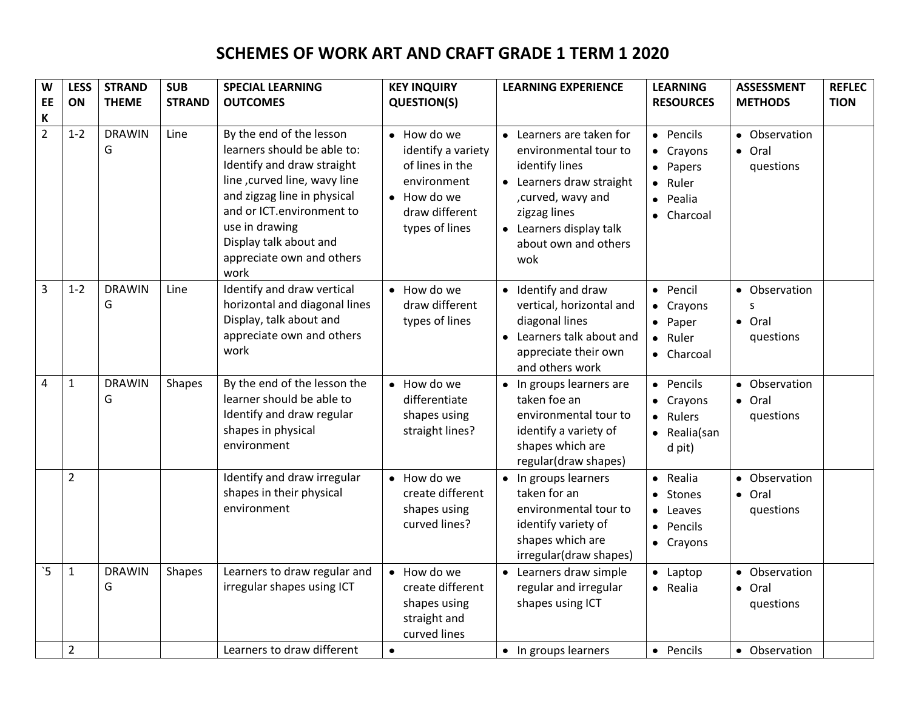## **SCHEMES OF WORK ART AND CRAFT GRADE 1 TERM 1 2020**

| W<br>EE                  | <b>LESS</b><br>ON | <b>STRAND</b><br><b>THEME</b> | <b>SUB</b><br><b>STRAND</b> | <b>SPECIAL LEARNING</b><br><b>OUTCOMES</b>                                                                                                                                                                                                                         | <b>KEY INQUIRY</b><br><b>QUESTION(S)</b>                                                                                       | <b>LEARNING EXPERIENCE</b>                                                                                                                                                                      | <b>LEARNING</b><br><b>RESOURCES</b>                                                                                 | <b>ASSESSMENT</b><br><b>METHODS</b>  | <b>REFLEC</b><br><b>TION</b> |
|--------------------------|-------------------|-------------------------------|-----------------------------|--------------------------------------------------------------------------------------------------------------------------------------------------------------------------------------------------------------------------------------------------------------------|--------------------------------------------------------------------------------------------------------------------------------|-------------------------------------------------------------------------------------------------------------------------------------------------------------------------------------------------|---------------------------------------------------------------------------------------------------------------------|--------------------------------------|------------------------------|
| К<br>$\overline{2}$      | $1 - 2$           | <b>DRAWIN</b><br>G            | Line                        | By the end of the lesson<br>learners should be able to:<br>Identify and draw straight<br>line, curved line, wavy line<br>and zigzag line in physical<br>and or ICT.environment to<br>use in drawing<br>Display talk about and<br>appreciate own and others<br>work | • How do we<br>identify a variety<br>of lines in the<br>environment<br>$\bullet$ How do we<br>draw different<br>types of lines | • Learners are taken for<br>environmental tour to<br>identify lines<br>• Learners draw straight<br>, curved, wavy and<br>zigzag lines<br>• Learners display talk<br>about own and others<br>wok | • Pencils<br>• Crayons<br>Papers<br>$\bullet$<br>Ruler<br>$\bullet$<br>Pealia<br>$\bullet$<br>Charcoal<br>$\bullet$ | • Observation<br>• Oral<br>questions |                              |
| $\overline{3}$           | $1 - 2$           | <b>DRAWIN</b><br>G            | Line                        | Identify and draw vertical<br>horizontal and diagonal lines<br>Display, talk about and<br>appreciate own and others<br>work                                                                                                                                        | • How do we<br>draw different<br>types of lines                                                                                | • Identify and draw<br>vertical, horizontal and<br>diagonal lines<br>Learners talk about and<br>appreciate their own<br>and others work                                                         | • Pencil<br>• Crayons<br>Paper<br>$\bullet$<br>Ruler<br>$\bullet$<br>• Charcoal                                     | • Observation<br>• Oral<br>questions |                              |
| $\overline{4}$           | $\mathbf 1$       | <b>DRAWIN</b><br>G            | Shapes                      | By the end of the lesson the<br>learner should be able to<br>Identify and draw regular<br>shapes in physical<br>environment                                                                                                                                        | • How do we<br>differentiate<br>shapes using<br>straight lines?                                                                | • In groups learners are<br>taken foe an<br>environmental tour to<br>identify a variety of<br>shapes which are<br>regular(draw shapes)                                                          | • Pencils<br>Crayons<br>$\bullet$<br>Rulers<br>$\bullet$<br>Realia(san<br>$\bullet$<br>d pit)                       | • Observation<br>· Oral<br>questions |                              |
|                          | $\overline{2}$    |                               |                             | Identify and draw irregular<br>shapes in their physical<br>environment                                                                                                                                                                                             | • How do we<br>create different<br>shapes using<br>curved lines?                                                               | • In groups learners<br>taken for an<br>environmental tour to<br>identify variety of<br>shapes which are<br>irregular(draw shapes)                                                              | Realia<br>$\bullet$<br>Stones<br>$\bullet$<br>Leaves<br>$\bullet$<br>Pencils<br>$\bullet$<br>• Crayons              | • Observation<br>• Oral<br>questions |                              |
| $\overline{\phantom{a}}$ | $\mathbf{1}$      | <b>DRAWIN</b><br>G            | <b>Shapes</b>               | Learners to draw regular and<br>irregular shapes using ICT                                                                                                                                                                                                         | • How do we<br>create different<br>shapes using<br>straight and<br>curved lines                                                | • Learners draw simple<br>regular and irregular<br>shapes using ICT                                                                                                                             | Laptop<br>$\bullet$<br>Realia<br>$\bullet$                                                                          | • Observation<br>• Oral<br>questions |                              |
|                          | $\overline{2}$    |                               |                             | Learners to draw different                                                                                                                                                                                                                                         | $\bullet$                                                                                                                      | • In groups learners                                                                                                                                                                            | • Pencils                                                                                                           | • Observation                        |                              |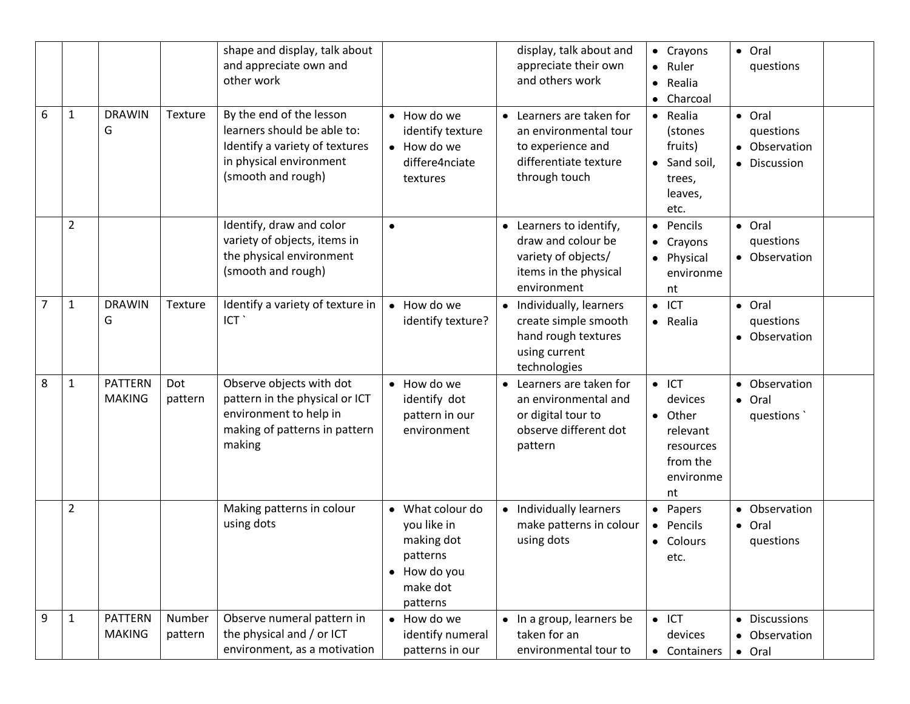| 6              | $\mathbf{1}$   | <b>DRAWIN</b><br>G              | Texture           | shape and display, talk about<br>and appreciate own and<br>other work<br>By the end of the lesson<br>learners should be able to: | • How do we<br>identify texture                                                                              | display, talk about and<br>appreciate their own<br>and others work<br>• Learners are taken for<br>an environmental tour | • Crayons<br>Ruler<br>$\bullet$<br>Realia<br>$\bullet$<br>Charcoal<br>$\bullet$<br>Realia<br>$\bullet$<br>(stones | • Oral<br>questions<br>· Oral<br>questions |  |
|----------------|----------------|---------------------------------|-------------------|----------------------------------------------------------------------------------------------------------------------------------|--------------------------------------------------------------------------------------------------------------|-------------------------------------------------------------------------------------------------------------------------|-------------------------------------------------------------------------------------------------------------------|--------------------------------------------|--|
|                |                |                                 |                   | Identify a variety of textures<br>in physical environment<br>(smooth and rough)                                                  | • How do we<br>differe4nciate<br>textures                                                                    | to experience and<br>differentiate texture<br>through touch                                                             | fruits)<br>Sand soil,<br>$\bullet$<br>trees,<br>leaves,<br>etc.                                                   | • Observation<br>• Discussion              |  |
|                | $\overline{2}$ |                                 |                   | Identify, draw and color<br>variety of objects, items in<br>the physical environment<br>(smooth and rough)                       | $\bullet$                                                                                                    | • Learners to identify,<br>draw and colour be<br>variety of objects/<br>items in the physical<br>environment            | Pencils<br>$\bullet$<br>Crayons<br>٠<br>Physical<br>$\bullet$<br>environme<br>nt                                  | • Oral<br>questions<br>• Observation       |  |
| $\overline{7}$ | $\mathbf{1}$   | <b>DRAWIN</b><br>G              | Texture           | Identify a variety of texture in<br>ICT `                                                                                        | • How do we<br>identify texture?                                                                             | Individually, learners<br>create simple smooth<br>hand rough textures<br>using current<br>technologies                  | ICT<br>$\bullet$<br>Realia<br>$\bullet$                                                                           | • Oral<br>questions<br>• Observation       |  |
| 8              | $\mathbf{1}$   | <b>PATTERN</b><br><b>MAKING</b> | Dot<br>pattern    | Observe objects with dot<br>pattern in the physical or ICT<br>environment to help in<br>making of patterns in pattern<br>making  | • How do we<br>identify dot<br>pattern in our<br>environment                                                 | Learners are taken for<br>an environmental and<br>or digital tour to<br>observe different dot<br>pattern                | $\bullet$ ICT<br>devices<br>Other<br>$\bullet$<br>relevant<br>resources<br>from the<br>environme<br>nt            | • Observation<br>• Oral<br>questions       |  |
|                | $\overline{2}$ |                                 |                   | Making patterns in colour<br>using dots                                                                                          | What colour do<br>$\bullet$<br>you like in<br>making dot<br>patterns<br>• How do you<br>make dot<br>patterns | • Individually learners<br>make patterns in colour<br>using dots                                                        | • Papers<br>Pencils<br>$\bullet$<br>Colours<br>$\bullet$<br>etc.                                                  | • Observation<br>• Oral<br>questions       |  |
| 9              | $\mathbf{1}$   | <b>PATTERN</b><br><b>MAKING</b> | Number<br>pattern | Observe numeral pattern in<br>the physical and / or ICT<br>environment, as a motivation                                          | How do we<br>$\bullet$<br>identify numeral<br>patterns in our                                                | • In a group, learners be<br>taken for an<br>environmental tour to                                                      | $\bullet$ ICT<br>devices<br>• Containers                                                                          | • Discussions<br>• Observation<br>• Oral   |  |